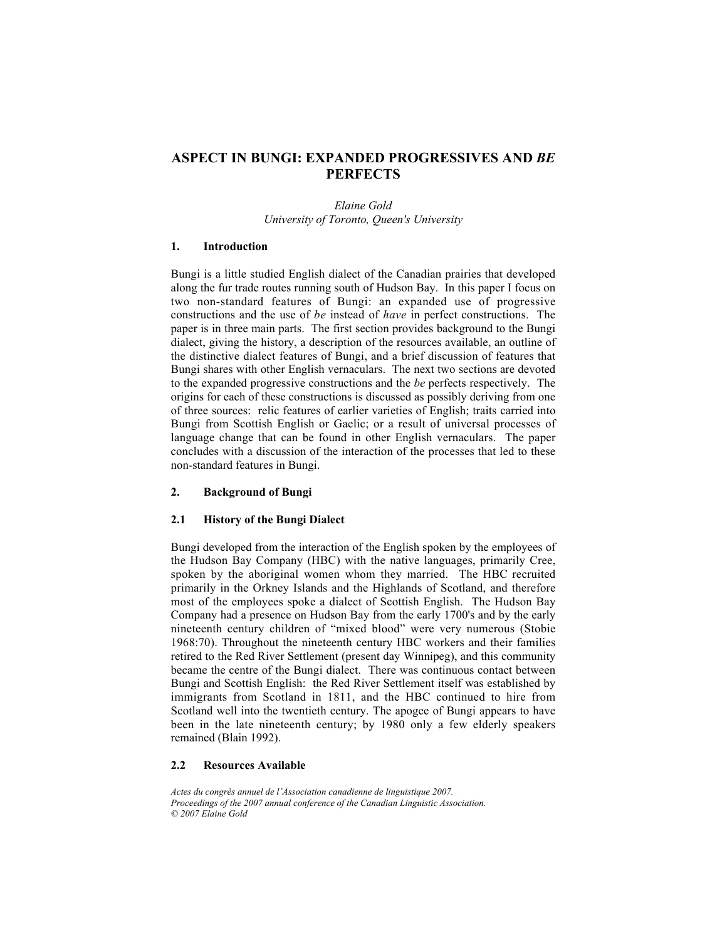# **ASPECT IN BUNGI: EXPANDED PROGRESSIVES AND** *BE* **PERFECTS**

*Elaine Gold University of Toronto, Queen's University*

#### **1. Introduction**

Bungi is a little studied English dialect of the Canadian prairies that developed along the fur trade routes running south of Hudson Bay. In this paper I focus on two non-standard features of Bungi: an expanded use of progressive constructions and the use of *be* instead of *have* in perfect constructions. The paper is in three main parts. The first section provides background to the Bungi dialect, giving the history, a description of the resources available, an outline of the distinctive dialect features of Bungi, and a brief discussion of features that Bungi shares with other English vernaculars. The next two sections are devoted to the expanded progressive constructions and the *be* perfects respectively. The origins for each of these constructions is discussed as possibly deriving from one of three sources: relic features of earlier varieties of English; traits carried into Bungi from Scottish English or Gaelic; or a result of universal processes of language change that can be found in other English vernaculars. The paper concludes with a discussion of the interaction of the processes that led to these non-standard features in Bungi.

### **2. Background of Bungi**

#### **2.1 History of the Bungi Dialect**

Bungi developed from the interaction of the English spoken by the employees of the Hudson Bay Company (HBC) with the native languages, primarily Cree, spoken by the aboriginal women whom they married. The HBC recruited primarily in the Orkney Islands and the Highlands of Scotland, and therefore most of the employees spoke a dialect of Scottish English. The Hudson Bay Company had a presence on Hudson Bay from the early 1700's and by the early nineteenth century children of "mixed blood" were very numerous (Stobie 1968:70). Throughout the nineteenth century HBC workers and their families retired to the Red River Settlement (present day Winnipeg), and this community became the centre of the Bungi dialect. There was continuous contact between Bungi and Scottish English: the Red River Settlement itself was established by immigrants from Scotland in 1811, and the HBC continued to hire from Scotland well into the twentieth century. The apogee of Bungi appears to have been in the late nineteenth century; by 1980 only a few elderly speakers remained (Blain 1992).

#### **2.2 Resources Available**

*Actes du congrès annuel de l'Association canadienne de linguistique 2007. Proceedings of the 2007 annual conference of the Canadian Linguistic Association. © 2007 Elaine Gold*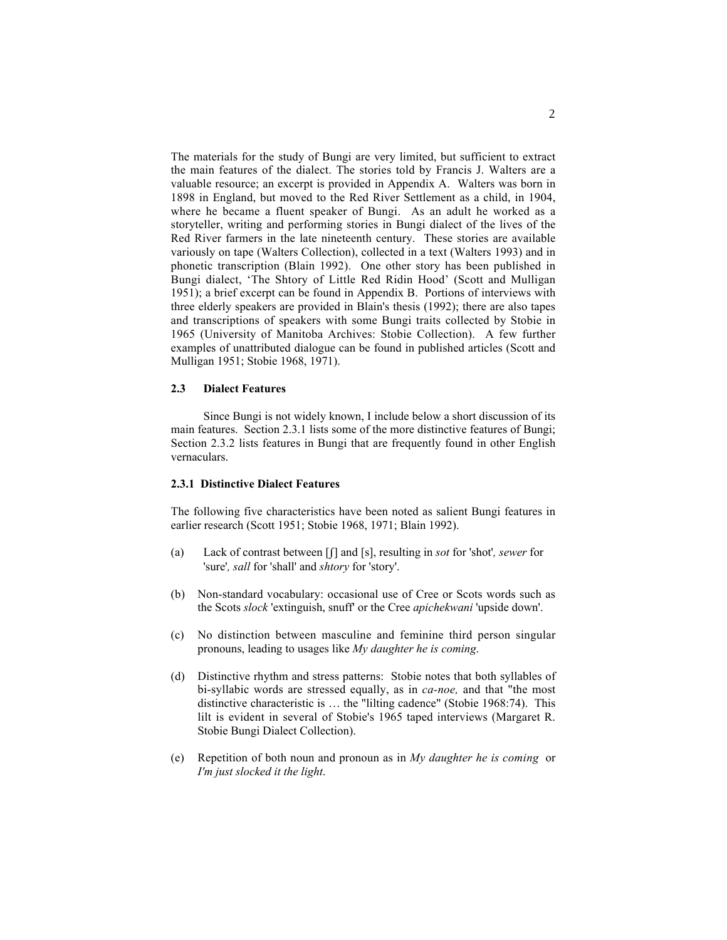The materials for the study of Bungi are very limited, but sufficient to extract the main features of the dialect. The stories told by Francis J. Walters are a valuable resource; an excerpt is provided in Appendix A. Walters was born in 1898 in England, but moved to the Red River Settlement as a child, in 1904, where he became a fluent speaker of Bungi. As an adult he worked as a storyteller, writing and performing stories in Bungi dialect of the lives of the Red River farmers in the late nineteenth century. These stories are available variously on tape (Walters Collection), collected in a text (Walters 1993) and in phonetic transcription (Blain 1992). One other story has been published in Bungi dialect, 'The Shtory of Little Red Ridin Hood' (Scott and Mulligan 1951); a brief excerpt can be found in Appendix B. Portions of interviews with three elderly speakers are provided in Blain's thesis (1992); there are also tapes and transcriptions of speakers with some Bungi traits collected by Stobie in 1965 (University of Manitoba Archives: Stobie Collection). A few further examples of unattributed dialogue can be found in published articles (Scott and Mulligan 1951; Stobie 1968, 1971).

### **2.3 Dialect Features**

Since Bungi is not widely known, I include below a short discussion of its main features. Section 2.3.1 lists some of the more distinctive features of Bungi; Section 2.3.2 lists features in Bungi that are frequently found in other English vernaculars.

# **2.3.1 Distinctive Dialect Features**

The following five characteristics have been noted as salient Bungi features in earlier research (Scott 1951; Stobie 1968, 1971; Blain 1992).

- (a) Lack of contrast between [ß] and [s], resulting in *sot* for 'shot'*, sewer* for 'sure'*, sall* for 'shall' and *shtory* for 'story'.
- (b) Non-standard vocabulary: occasional use of Cree or Scots words such as the Scots *slock* 'extinguish, snuff' or the Cree *apichekwani* 'upside down'.
- (c) No distinction between masculine and feminine third person singular pronouns, leading to usages like *My daughter he is coming*.
- (d) Distinctive rhythm and stress patterns: Stobie notes that both syllables of bi-syllabic words are stressed equally, as in *ca-noe,* and that "the most distinctive characteristic is … the "lilting cadence" (Stobie 1968:74). This lilt is evident in several of Stobie's 1965 taped interviews (Margaret R. Stobie Bungi Dialect Collection).
- (e) Repetition of both noun and pronoun as in *My daughter he is coming* or *I'm just slocked it the light*.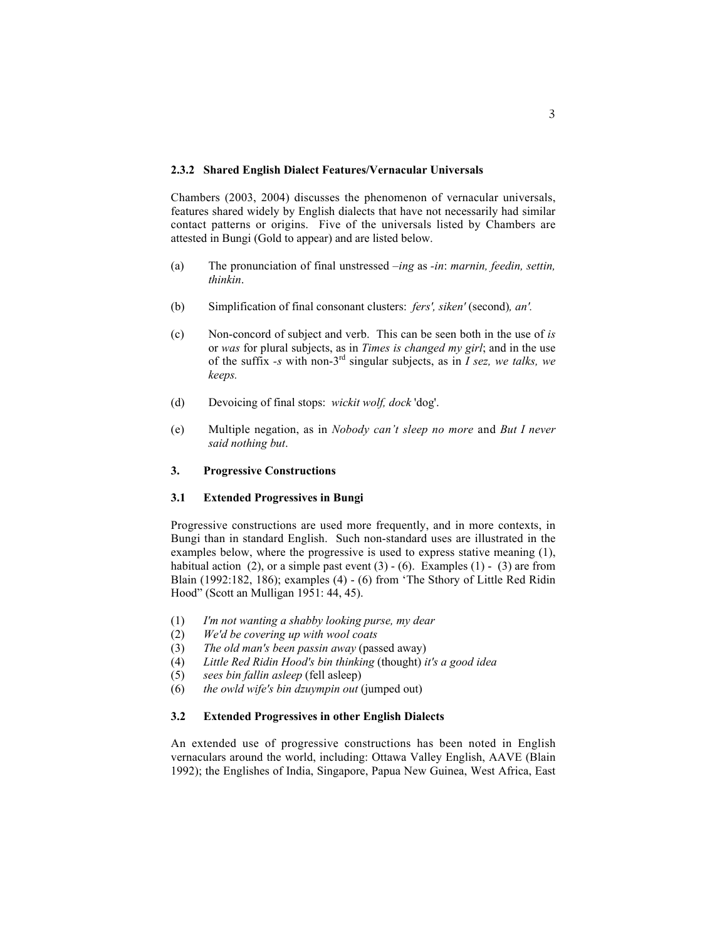#### **2.3.2 Shared English Dialect Features/Vernacular Universals**

Chambers (2003, 2004) discusses the phenomenon of vernacular universals, features shared widely by English dialects that have not necessarily had similar contact patterns or origins. Five of the universals listed by Chambers are attested in Bungi (Gold to appear) and are listed below.

- (a) The pronunciation of final unstressed *–ing* as *-in*: *marnin, feedin, settin, thinkin*.
- (b) Simplification of final consonant clusters: *fers', siken'* (second)*, an'.*
- (c) Non-concord of subject and verb. This can be seen both in the use of *is* or *was* for plural subjects, as in *Times is changed my girl*; and in the use of the suffix *-s* with non-3rd singular subjects, as in *I sez, we talks, we keeps.*
- (d) Devoicing of final stops: *wickit wolf, dock* 'dog'.
- (e) Multiple negation, as in *Nobody can't sleep no more* and *But I never said nothing but*.

# **3. Progressive Constructions**

#### **3.1 Extended Progressives in Bungi**

Progressive constructions are used more frequently, and in more contexts, in Bungi than in standard English. Such non-standard uses are illustrated in the examples below, where the progressive is used to express stative meaning (1), habitual action (2), or a simple past event  $(3) - (6)$ . Examples  $(1) - (3)$  are from Blain (1992:182, 186); examples (4) - (6) from 'The Sthory of Little Red Ridin Hood" (Scott an Mulligan 1951: 44, 45).

- (1) *I'm not wanting a shabby looking purse, my dear*
- (2) *We'd be covering up with wool coats*
- (3) *The old man's been passin away* (passed away)
- (4) *Little Red Ridin Hood's bin thinking* (thought) *it's a good idea*
- (5) *sees bin fallin asleep* (fell asleep)
- (6) *the owld wife's bin dzuympin out* (jumped out)

### **3.2 Extended Progressives in other English Dialects**

An extended use of progressive constructions has been noted in English vernaculars around the world, including: Ottawa Valley English, AAVE (Blain 1992); the Englishes of India, Singapore, Papua New Guinea, West Africa, East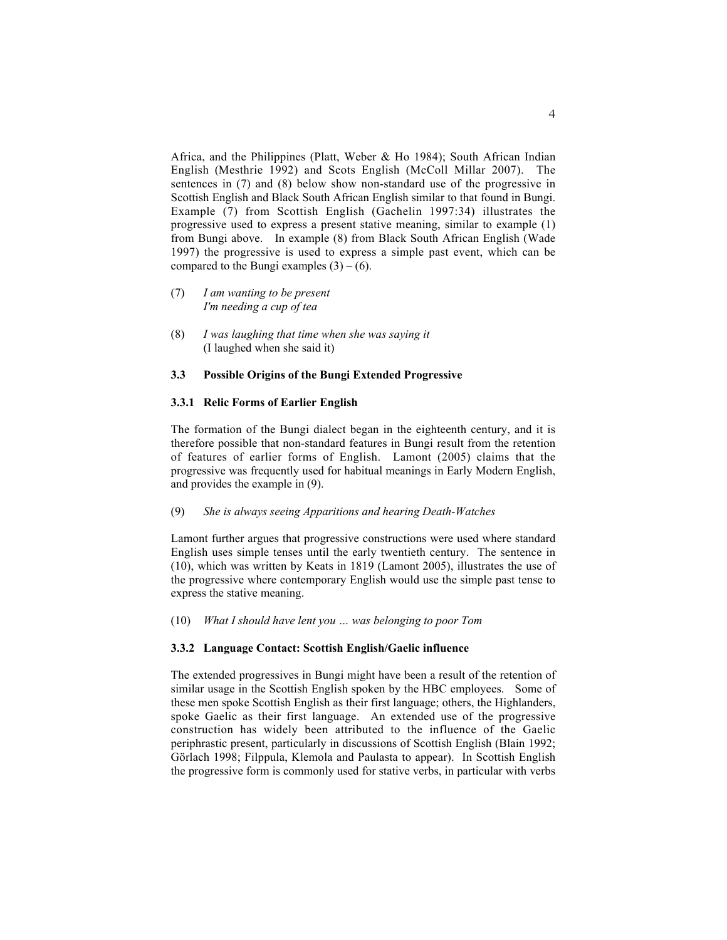Africa, and the Philippines (Platt, Weber & Ho 1984); South African Indian English (Mesthrie 1992) and Scots English (McColl Millar 2007). The sentences in (7) and (8) below show non-standard use of the progressive in Scottish English and Black South African English similar to that found in Bungi. Example (7) from Scottish English (Gachelin 1997:34) illustrates the progressive used to express a present stative meaning, similar to example (1) from Bungi above. In example (8) from Black South African English (Wade 1997) the progressive is used to express a simple past event, which can be compared to the Bungi examples  $(3) - (6)$ .

- (7) *I am wanting to be present I'm needing a cup of tea*
- (8) *I was laughing that time when she was saying it* (I laughed when she said it)

### **3.3 Possible Origins of the Bungi Extended Progressive**

### **3.3.1 Relic Forms of Earlier English**

The formation of the Bungi dialect began in the eighteenth century, and it is therefore possible that non-standard features in Bungi result from the retention of features of earlier forms of English. Lamont (2005) claims that the progressive was frequently used for habitual meanings in Early Modern English, and provides the example in (9).

#### (9) *She is always seeing Apparitions and hearing Death-Watches*

Lamont further argues that progressive constructions were used where standard English uses simple tenses until the early twentieth century. The sentence in (10), which was written by Keats in 1819 (Lamont 2005), illustrates the use of the progressive where contemporary English would use the simple past tense to express the stative meaning.

### (10) *What I should have lent you … was belonging to poor Tom*

#### **3.3.2 Language Contact: Scottish English/Gaelic influence**

The extended progressives in Bungi might have been a result of the retention of similar usage in the Scottish English spoken by the HBC employees. Some of these men spoke Scottish English as their first language; others, the Highlanders, spoke Gaelic as their first language. An extended use of the progressive construction has widely been attributed to the influence of the Gaelic periphrastic present, particularly in discussions of Scottish English (Blain 1992; Görlach 1998; Filppula, Klemola and Paulasta to appear). In Scottish English the progressive form is commonly used for stative verbs, in particular with verbs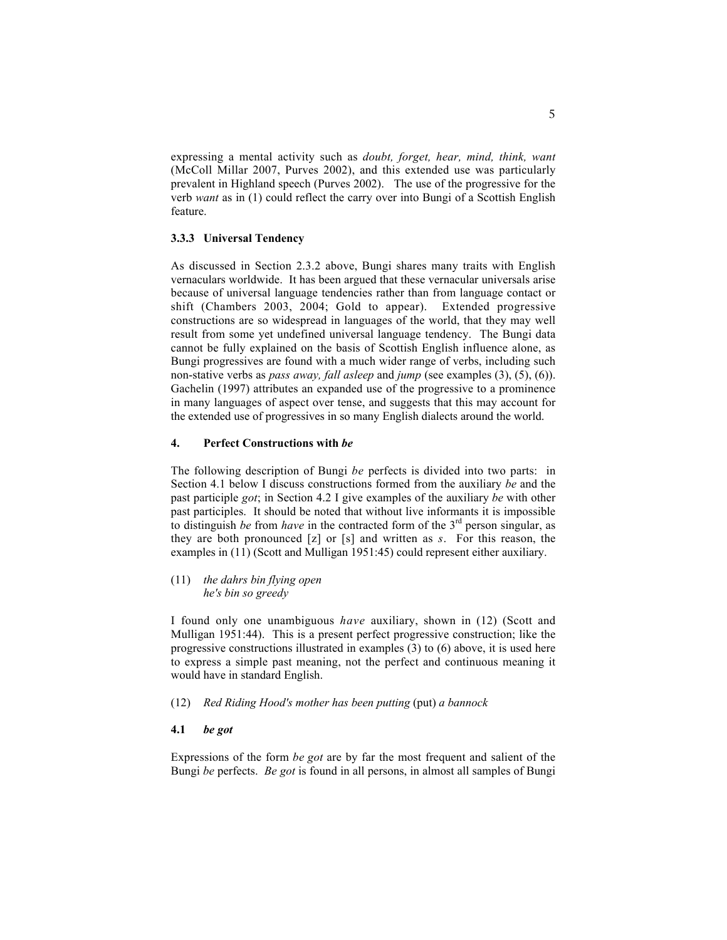expressing a mental activity such as *doubt, forget, hear, mind, think, want* (McColl Millar 2007, Purves 2002), and this extended use was particularly prevalent in Highland speech (Purves 2002). The use of the progressive for the verb *want* as in (1) could reflect the carry over into Bungi of a Scottish English feature.

### **3.3.3 Universal Tendency**

As discussed in Section 2.3.2 above, Bungi shares many traits with English vernaculars worldwide. It has been argued that these vernacular universals arise because of universal language tendencies rather than from language contact or shift (Chambers 2003, 2004; Gold to appear). Extended progressive constructions are so widespread in languages of the world, that they may well result from some yet undefined universal language tendency. The Bungi data cannot be fully explained on the basis of Scottish English influence alone, as Bungi progressives are found with a much wider range of verbs, including such non-stative verbs as *pass away, fall asleep* and *jump* (see examples (3), (5), (6)). Gachelin (1997) attributes an expanded use of the progressive to a prominence in many languages of aspect over tense, and suggests that this may account for the extended use of progressives in so many English dialects around the world.

# **4. Perfect Constructions with** *be*

The following description of Bungi *be* perfects is divided into two parts: in Section 4.1 below I discuss constructions formed from the auxiliary *be* and the past participle *got*; in Section 4.2 I give examples of the auxiliary *be* with other past participles. It should be noted that without live informants it is impossible to distinguish *be* from *have* in the contracted form of the 3<sup>rd</sup> person singular, as they are both pronounced [z] or [s] and written as *s*. For this reason, the examples in (11) (Scott and Mulligan 1951:45) could represent either auxiliary.

(11) *the dahrs bin flying open he's bin so greedy*

I found only one unambiguous *have* auxiliary, shown in (12) (Scott and Mulligan 1951:44). This is a present perfect progressive construction; like the progressive constructions illustrated in examples (3) to (6) above, it is used here to express a simple past meaning, not the perfect and continuous meaning it would have in standard English.

- (12) *Red Riding Hood's mother has been putting* (put) *a bannock*
- **4.1** *be got*

Expressions of the form *be got* are by far the most frequent and salient of the Bungi *be* perfects. *Be got* is found in all persons, in almost all samples of Bungi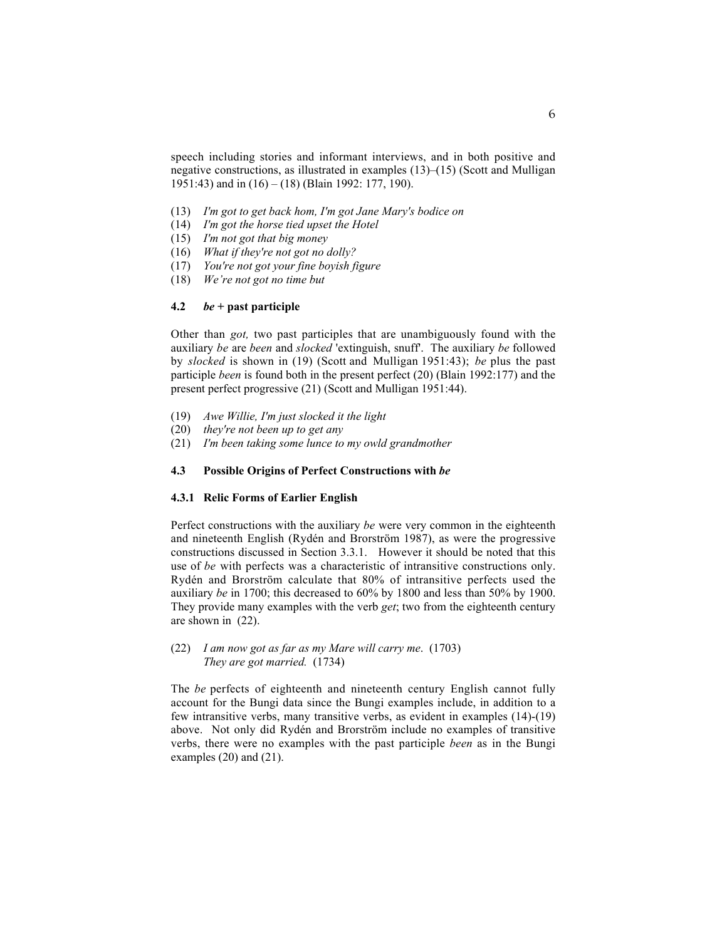speech including stories and informant interviews, and in both positive and negative constructions, as illustrated in examples (13)–(15) (Scott and Mulligan 1951:43) and in (16) – (18) (Blain 1992: 177, 190).

- (13) *I'm got to get back hom, I'm got Jane Mary's bodice on*
- (14) *I'm got the horse tied upset the Hotel*
- (15) *I'm not got that big money*
- (16) *What if they're not got no dolly?*
- (17) *You're not got your fine boyish figure*
- (18) *We're not got no time but*

# **4.2** *be* **+ past participle**

Other than *got,* two past participles that are unambiguously found with the auxiliary *be* are *been* and *slocked* 'extinguish, snuff'. The auxiliary *be* followed by *slocked* is shown in (19) (Scott and Mulligan 1951:43); *be* plus the past participle *been* is found both in the present perfect (20) (Blain 1992:177) and the present perfect progressive (21) (Scott and Mulligan 1951:44).

- (19) *Awe Willie, I'm just slocked it the light*
- (20) *they're not been up to get any*
- (21) *I'm been taking some lunce to my owld grandmother*

# **4.3 Possible Origins of Perfect Constructions with** *be*

#### **4.3.1 Relic Forms of Earlier English**

Perfect constructions with the auxiliary *be* were very common in the eighteenth and nineteenth English (Rydén and Brorström 1987), as were the progressive constructions discussed in Section 3.3.1. However it should be noted that this use of *be* with perfects was a characteristic of intransitive constructions only. Rydén and Brorström calculate that 80% of intransitive perfects used the auxiliary *be* in 1700; this decreased to 60% by 1800 and less than 50% by 1900. They provide many examples with the verb *get*; two from the eighteenth century are shown in(22).

(22) *I am now got as far as my Mare will carry me*. (1703) *They are got married.* (1734)

The *be* perfects of eighteenth and nineteenth century English cannot fully account for the Bungi data since the Bungi examples include, in addition to a few intransitive verbs, many transitive verbs, as evident in examples (14)-(19) above. Not only did Rydén and Brorström include no examples of transitive verbs, there were no examples with the past participle *been* as in the Bungi examples (20) and (21).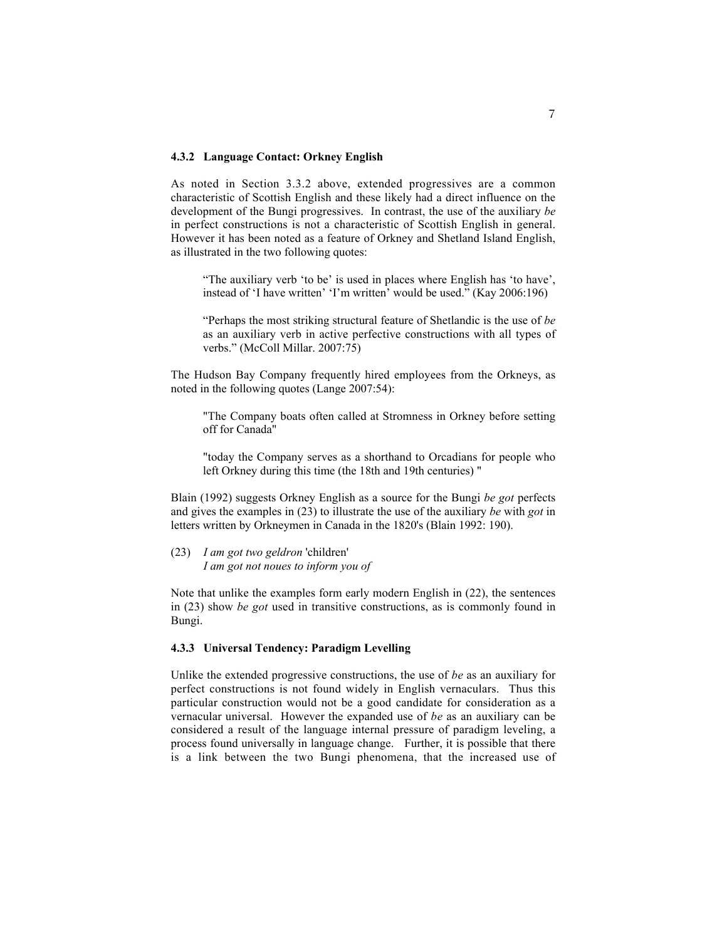### **4.3.2 Language Contact: Orkney English**

As noted in Section 3.3.2 above, extended progressives are a common characteristic of Scottish English and these likely had a direct influence on the development of the Bungi progressives. In contrast, the use of the auxiliary *be* in perfect constructions is not a characteristic of Scottish English in general. However it has been noted as a feature of Orkney and Shetland Island English, as illustrated in the two following quotes:

"The auxiliary verb 'to be' is used in places where English has 'to have', instead of 'I have written' 'I'm written' would be used." (Kay 2006:196)

"Perhaps the most striking structural feature of Shetlandic is the use of *be* as an auxiliary verb in active perfective constructions with all types of verbs." (McColl Millar. 2007:75)

The Hudson Bay Company frequently hired employees from the Orkneys, as noted in the following quotes (Lange 2007:54):

"The Company boats often called at Stromness in Orkney before setting off for Canada"

"today the Company serves as a shorthand to Orcadians for people who left Orkney during this time (the 18th and 19th centuries) "

Blain (1992) suggests Orkney English as a source for the Bungi *be got* perfects and gives the examples in (23) to illustrate the use of the auxiliary *be* with *got* in letters written by Orkneymen in Canada in the 1820's (Blain 1992: 190).

(23) *I am got two geldron* 'children' *I am got not noues to inform you of*

Note that unlike the examples form early modern English in (22), the sentences in (23) show *be got* used in transitive constructions, as is commonly found in Bungi.

### **4.3.3 Universal Tendency: Paradigm Levelling**

Unlike the extended progressive constructions, the use of *be* as an auxiliary for perfect constructions is not found widely in English vernaculars. Thus this particular construction would not be a good candidate for consideration as a vernacular universal. However the expanded use of *be* as an auxiliary can be considered a result of the language internal pressure of paradigm leveling, a process found universally in language change. Further, it is possible that there is a link between the two Bungi phenomena, that the increased use of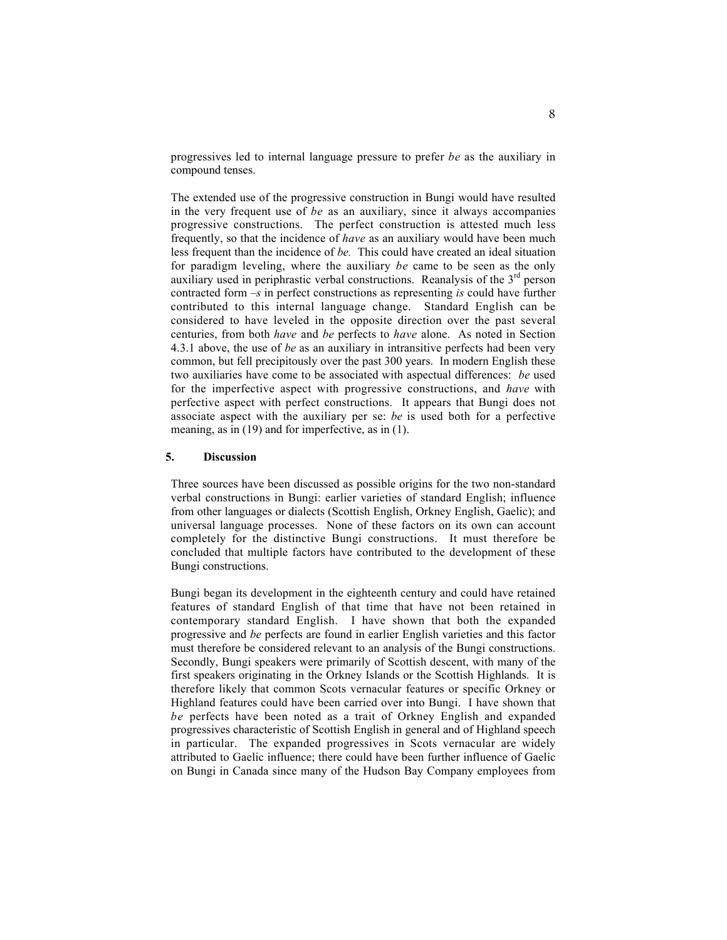progressives led to internal language pressure to prefer *be* as the auxiliary in compound tenses.

The extended use of the progressive construction in Bungi would have resulted in the very frequent use of *be* as an auxiliary, since it always accompanies progressive constructions. The perfect construction is attested much less frequently, so that the incidence of *have* as an auxiliary would have been much less frequent than the incidence of *be.* This could have created an ideal situation for paradigm leveling, where the auxiliary *be* came to be seen as the only auxiliary used in periphrastic verbal constructions. Reanalysis of the  $3<sup>rd</sup>$  person contracted form *–s* in perfect constructions as representing *is* could have further contributed to this internal language change. Standard English can be considered to have leveled in the opposite direction over the past several centuries, from both *have* and *be* perfects to *have* alone. As noted in Section 4.3.1 above, the use of *be* as an auxiliary in intransitive perfects had been very common, but fell precipitously over the past 300 years. In modern English these two auxiliaries have come to be associated with aspectual differences: *be* used for the imperfective aspect with progressive constructions, and *have* with perfective aspect with perfect constructions. It appears that Bungi does not associate aspect with the auxiliary per se: *be* is used both for a perfective meaning, as in (19) and for imperfective, as in (1).

# **5. Discussion**

Three sources have been discussed as possible origins for the two non-standard verbal constructions in Bungi: earlier varieties of standard English; influence from other languages or dialects (Scottish English, Orkney English, Gaelic); and universal language processes. None of these factors on its own can account completely for the distinctive Bungi constructions. It must therefore be concluded that multiple factors have contributed to the development of these Bungi constructions.

Bungi began its development in the eighteenth century and could have retained features of standard English of that time that have not been retained in contemporary standard English. I have shown that both the expanded progressive and *be* perfects are found in earlier English varieties and this factor must therefore be considered relevant to an analysis of the Bungi constructions. Secondly, Bungi speakers were primarily of Scottish descent, with many of the first speakers originating in the Orkney Islands or the Scottish Highlands. It is therefore likely that common Scots vernacular features or specific Orkney or Highland features could have been carried over into Bungi. I have shown that *be* perfects have been noted as a trait of Orkney English and expanded progressives characteristic of Scottish English in general and of Highland speech in particular. The expanded progressives in Scots vernacular are widely attributed to Gaelic influence; there could have been further influence of Gaelic on Bungi in Canada since many of the Hudson Bay Company employees from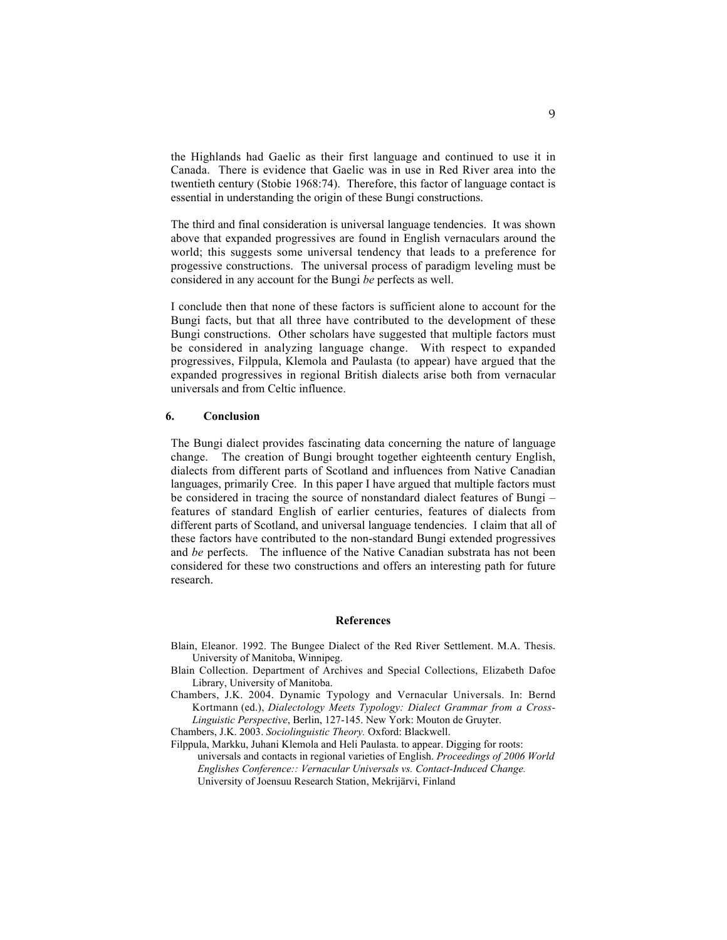the Highlands had Gaelic as their first language and continued to use it in Canada. There is evidence that Gaelic was in use in Red River area into the twentieth century (Stobie 1968:74). Therefore, this factor of language contact is essential in understanding the origin of these Bungi constructions.

The third and final consideration is universal language tendencies. It was shown above that expanded progressives are found in English vernaculars around the world; this suggests some universal tendency that leads to a preference for progessive constructions. The universal process of paradigm leveling must be considered in any account for the Bungi *be* perfects as well.

I conclude then that none of these factors is sufficient alone to account for the Bungi facts, but that all three have contributed to the development of these Bungi constructions. Other scholars have suggested that multiple factors must be considered in analyzing language change. With respect to expanded progressives, Filppula, Klemola and Paulasta (to appear) have argued that the expanded progressives in regional British dialects arise both from vernacular universals and from Celtic influence.

#### **6. Conclusion**

The Bungi dialect provides fascinating data concerning the nature of language change. The creation of Bungi brought together eighteenth century English, dialects from different parts of Scotland and influences from Native Canadian languages, primarily Cree. In this paper I have argued that multiple factors must be considered in tracing the source of nonstandard dialect features of Bungi – features of standard English of earlier centuries, features of dialects from different parts of Scotland, and universal language tendencies. I claim that all of these factors have contributed to the non-standard Bungi extended progressives and *be* perfects. The influence of the Native Canadian substrata has not been considered for these two constructions and offers an interesting path for future research.

### **References**

- Blain, Eleanor. 1992. The Bungee Dialect of the Red River Settlement. M.A. Thesis. University of Manitoba, Winnipeg.
- Blain Collection. Department of Archives and Special Collections, Elizabeth Dafoe Library, University of Manitoba.
- Chambers, J.K. 2004. Dynamic Typology and Vernacular Universals. In: Bernd Kortmann (ed.), *Dialectology Meets Typology: Dialect Grammar from a Cross-Linguistic Perspective*, Berlin, 127-145. New York: Mouton de Gruyter.

Chambers, J.K. 2003. *Sociolinguistic Theory.* Oxford: Blackwell.

Filppula, Markku, Juhani Klemola and Heli Paulasta. to appear. Digging for roots:

universals and contacts in regional varieties of English. *Proceedings of 2006 World Englishes Conference:: Vernacular Universals vs. Contact-Induced Change.* University of Joensuu Research Station, Mekrijärvi, Finland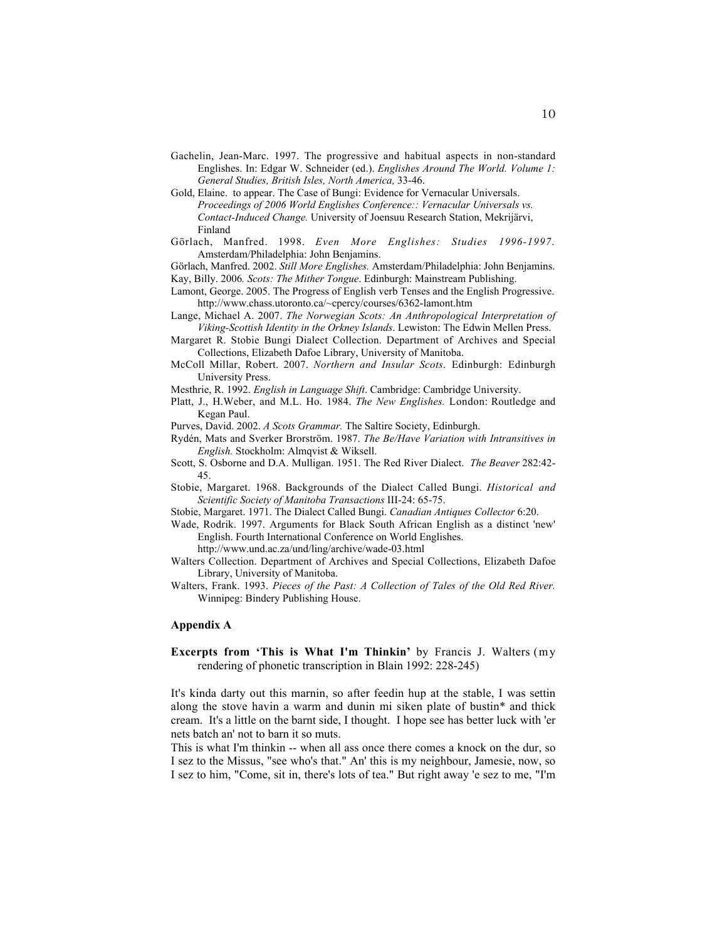- Gachelin, Jean-Marc. 1997. The progressive and habitual aspects in non-standard Englishes. In: Edgar W. Schneider (ed.). *Englishes Around The World. Volume 1: General Studies, British Isles, North America,* 33-46.
- Gold, Elaine. to appear. The Case of Bungi: Evidence for Vernacular Universals. *Proceedings of 2006 World Englishes Conference:: Vernacular Universals vs. Contact-Induced Change.* University of Joensuu Research Station, Mekrijärvi, Finland
- Görlach, Manfred. 1998. *Even More Englishes: Studies 1996-1997*. Amsterdam/Philadelphia: John Benjamins.
- Görlach, Manfred. 2002. *Still More Englishes.* Amsterdam/Philadelphia: John Benjamins. Kay, Billy. 2006*. Scots: The Mither Tongue*. Edinburgh: Mainstream Publishing.
- Lamont, George. 2005. The Progress of English verb Tenses and the English Progressive. http://www.chass.utoronto.ca/~cpercy/courses/6362-lamont.htm
- Lange, Michael A. 2007. *The Norwegian Scots: An Anthropological Interpretation of Viking-Scottish Identity in the Orkney Islands*. Lewiston: The Edwin Mellen Press.
- Margaret R. Stobie Bungi Dialect Collection. Department of Archives and Special Collections, Elizabeth Dafoe Library, University of Manitoba.
- McColl Millar, Robert. 2007. *Northern and Insular Scots*. Edinburgh: Edinburgh University Press.
- Mesthrie, R. 1992. *English in Language Shift*. Cambridge: Cambridge University.
- Platt, J., H.Weber, and M.L. Ho. 1984. *The New Englishes.* London: Routledge and Kegan Paul.
- Purves, David. 2002. *A Scots Grammar.* The Saltire Society, Edinburgh.
- Rydén, Mats and Sverker Brorström. 1987. *The Be/Have Variation with Intransitives in English.* Stockholm: Almqvist & Wiksell.
- Scott, S. Osborne and D.A. Mulligan. 1951. The Red River Dialect. *The Beaver* 282:42- 45.
- Stobie, Margaret. 1968. Backgrounds of the Dialect Called Bungi. *Historical and Scientific Society of Manitoba Transactions* III-24: 65-75.
- Stobie, Margaret. 1971. The Dialect Called Bungi. *Canadian Antiques Collector* 6:20.
- Wade, Rodrik. 1997. Arguments for Black South African English as a distinct 'new' English. Fourth International Conference on World Englishes.
	- http://www.und.ac.za/und/ling/archive/wade-03.html
- Walters Collection. Department of Archives and Special Collections, Elizabeth Dafoe Library, University of Manitoba.
- Walters, Frank. 1993. *Pieces of the Past: A Collection of Tales of the Old Red River.* Winnipeg: Bindery Publishing House.

### **Appendix A**

**Excerpts from 'This is What I'm Thinkin'** by Francis J. Walters (my rendering of phonetic transcription in Blain 1992: 228-245)

It's kinda darty out this marnin, so after feedin hup at the stable, I was settin along the stove havin a warm and dunin mi siken plate of bustin\* and thick cream. It's a little on the barnt side, I thought. I hope see has better luck with 'er nets batch an' not to barn it so muts.

This is what I'm thinkin -- when all ass once there comes a knock on the dur, so I sez to the Missus, "see who's that." An' this is my neighbour, Jamesie, now, so I sez to him, "Come, sit in, there's lots of tea." But right away 'e sez to me, "I'm